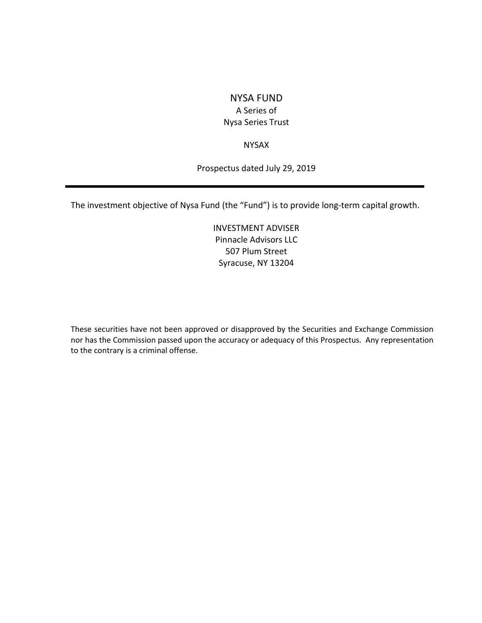# NYSA FUND A Series of Nysa Series Trust

# NYSAX

Prospectus dated July 29, 2019

The investment objective of Nysa Fund (the "Fund") is to provide long-term capital growth.

INVESTMENT ADVISER Pinnacle Advisors LLC 507 Plum Street Syracuse, NY 13204

These securities have not been approved or disapproved by the Securities and Exchange Commission nor has the Commission passed upon the accuracy or adequacy of this Prospectus. Any representation to the contrary is a criminal offense.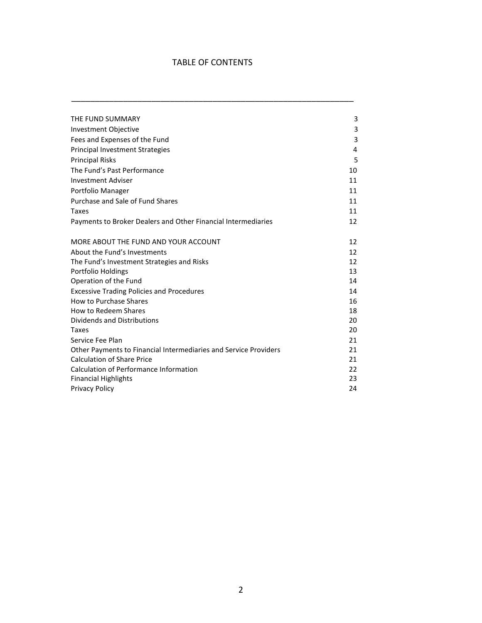# TABLE OF CONTENTS

\_\_\_\_\_\_\_\_\_\_\_\_\_\_\_\_\_\_\_\_\_\_\_\_\_\_\_\_\_\_\_\_\_\_\_\_\_\_\_\_\_\_\_\_\_\_\_\_\_\_\_\_\_\_\_\_\_\_\_\_

| THE FUND SUMMARY                                                 | 3  |
|------------------------------------------------------------------|----|
| Investment Objective                                             | 3  |
| Fees and Expenses of the Fund                                    | 3  |
| <b>Principal Investment Strategies</b>                           | 4  |
| <b>Principal Risks</b>                                           | 5  |
| The Fund's Past Performance                                      | 10 |
| <b>Investment Adviser</b>                                        | 11 |
| Portfolio Manager                                                | 11 |
| Purchase and Sale of Fund Shares                                 | 11 |
| Taxes                                                            | 11 |
| Payments to Broker Dealers and Other Financial Intermediaries    | 12 |
| MORE ABOUT THE FUND AND YOUR ACCOUNT                             | 12 |
| About the Fund's Investments                                     | 12 |
| The Fund's Investment Strategies and Risks                       | 12 |
| Portfolio Holdings                                               | 13 |
| Operation of the Fund                                            | 14 |
| <b>Excessive Trading Policies and Procedures</b>                 | 14 |
| How to Purchase Shares                                           | 16 |
| How to Redeem Shares                                             | 18 |
| Dividends and Distributions                                      | 20 |
| Taxes                                                            | 20 |
| Service Fee Plan                                                 | 21 |
| Other Payments to Financial Intermediaries and Service Providers | 21 |
| <b>Calculation of Share Price</b>                                | 21 |
| Calculation of Performance Information                           | 22 |
| <b>Financial Highlights</b>                                      | 23 |
| <b>Privacy Policy</b>                                            | 24 |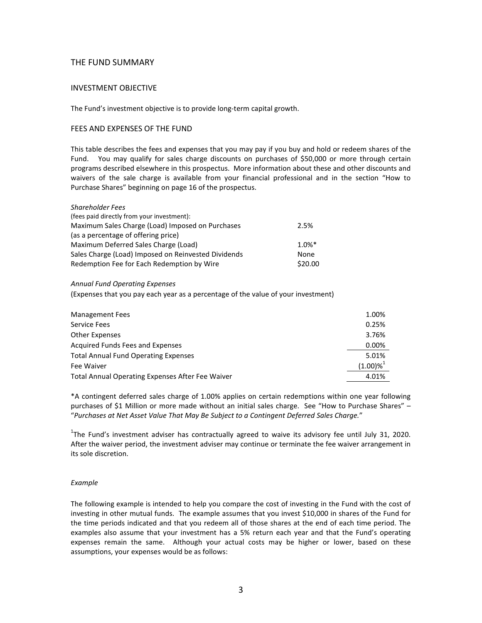# THE FUND SUMMARY

# INVESTMENT OBJECTIVE

The Fund's investment objective is to provide long-term capital growth.

## FEES AND EXPENSES OF THE FUND

This table describes the fees and expenses that you may pay if you buy and hold or redeem shares of the Fund. You may qualify for sales charge discounts on purchases of \$50,000 or more through certain programs described elsewhere in this prospectus. More information about these and other discounts and waivers of the sale charge is available from your financial professional and in the section "How to Purchase Shares" beginning on page 16 of the prospectus.

| <b>Shareholder Fees</b>                             |                      |
|-----------------------------------------------------|----------------------|
| (fees paid directly from your investment):          |                      |
| Maximum Sales Charge (Load) Imposed on Purchases    | 2.5%                 |
| (as a percentage of offering price)                 |                      |
| Maximum Deferred Sales Charge (Load)                | $1.0\%$ <sup>*</sup> |
| Sales Charge (Load) Imposed on Reinvested Dividends | <b>None</b>          |
| Redemption Fee for Each Redemption by Wire          | \$20.00              |

### *Annual Fund Operating Expenses*

(Expenses that you pay each year as a percentage of the value of your investment)

| <b>Management Fees</b>                           | 1.00%      |
|--------------------------------------------------|------------|
| Service Fees                                     | 0.25%      |
| Other Expenses                                   | 3.76%      |
| Acquired Funds Fees and Expenses                 | 0.00%      |
| <b>Total Annual Fund Operating Expenses</b>      | 5.01%      |
| Fee Waiver                                       | $(1.00)\%$ |
| Total Annual Operating Expenses After Fee Waiver | 4.01%      |

\*A contingent deferred sales charge of 1.00% applies on certain redemptions within one year following purchases of \$1 Million or more made without an initial sales charge. See "How to Purchase Shares" – "*Purchases at Net Asset Value That May Be Subject to a Contingent Deferred Sales Charge.*"

 $^{1}$ The Fund's investment adviser has contractually agreed to waive its advisory fee until July 31, 2020. After the waiver period, the investment adviser may continue or terminate the fee waiver arrangement in its sole discretion.

# *Example*

The following example is intended to help you compare the cost of investing in the Fund with the cost of investing in other mutual funds. The example assumes that you invest \$10,000 in shares of the Fund for the time periods indicated and that you redeem all of those shares at the end of each time period. The examples also assume that your investment has a 5% return each year and that the Fund's operating expenses remain the same. Although your actual costs may be higher or lower, based on these assumptions, your expenses would be as follows: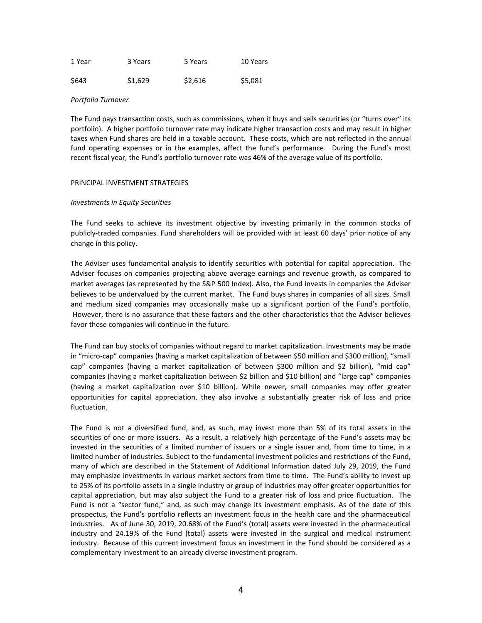| 1 Year | 3 Years | 5 Years | 10 Years |
|--------|---------|---------|----------|
| \$643  | \$1,629 | \$2,616 | \$5,081  |

#### *Portfolio Turnover*

The Fund pays transaction costs, such as commissions, when it buys and sells securities (or "turns over" its portfolio). A higher portfolio turnover rate may indicate higher transaction costs and may result in higher taxes when Fund shares are held in a taxable account. These costs, which are not reflected in the annual fund operating expenses or in the examples, affect the fund's performance. During the Fund's most recent fiscal year, the Fund's portfolio turnover rate was 46% of the average value of its portfolio.

#### PRINCIPAL INVESTMENT STRATEGIES

### *Investments in Equity Securities*

The Fund seeks to achieve its investment objective by investing primarily in the common stocks of publicly-traded companies. Fund shareholders will be provided with at least 60 days' prior notice of any change in this policy.

The Adviser uses fundamental analysis to identify securities with potential for capital appreciation. The Adviser focuses on companies projecting above average earnings and revenue growth, as compared to market averages (as represented by the S&P 500 Index). Also, the Fund invests in companies the Adviser believes to be undervalued by the current market. The Fund buys shares in companies of all sizes. Small and medium sized companies may occasionally make up a significant portion of the Fund's portfolio. However, there is no assurance that these factors and the other characteristics that the Adviser believes favor these companies will continue in the future.

The Fund can buy stocks of companies without regard to market capitalization. Investments may be made in "micro-cap" companies (having a market capitalization of between \$50 million and \$300 million), "small cap" companies (having a market capitalization of between \$300 million and \$2 billion), "mid cap" companies (having a market capitalization between \$2 billion and \$10 billion) and "large cap" companies (having a market capitalization over \$10 billion). While newer, small companies may offer greater opportunities for capital appreciation, they also involve a substantially greater risk of loss and price fluctuation.

The Fund is not a diversified fund, and, as such, may invest more than 5% of its total assets in the securities of one or more issuers. As a result, a relatively high percentage of the Fund's assets may be invested in the securities of a limited number of issuers or a single issuer and, from time to time, in a limited number of industries. Subject to the fundamental investment policies and restrictions of the Fund, many of which are described in the Statement of Additional Information dated July 29, 2019, the Fund may emphasize investments in various market sectors from time to time. The Fund's ability to invest up to 25% of its portfolio assets in a single industry or group of industries may offer greater opportunities for capital appreciation, but may also subject the Fund to a greater risk of loss and price fluctuation. The Fund is not a "sector fund," and, as such may change its investment emphasis. As of the date of this prospectus, the Fund's portfolio reflects an investment focus in the health care and the pharmaceutical industries. As of June 30, 2019, 20.68% of the Fund's (total) assets were invested in the pharmaceutical industry and 24.19% of the Fund (total) assets were invested in the surgical and medical instrument industry. Because of this current investment focus an investment in the Fund should be considered as a complementary investment to an already diverse investment program.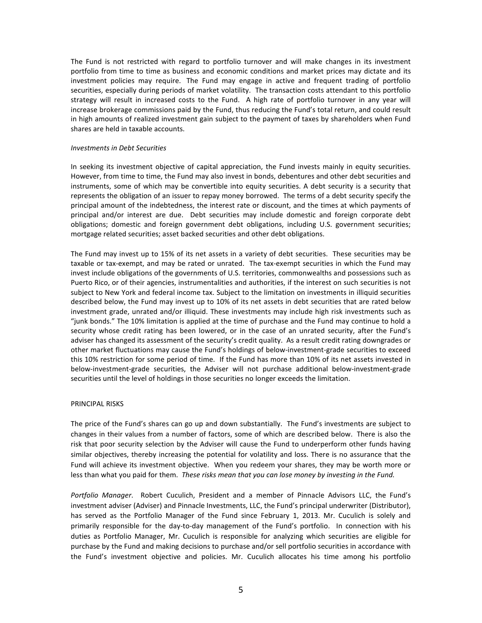The Fund is not restricted with regard to portfolio turnover and will make changes in its investment portfolio from time to time as business and economic conditions and market prices may dictate and its investment policies may require. The Fund may engage in active and frequent trading of portfolio securities, especially during periods of market volatility. The transaction costs attendant to this portfolio strategy will result in increased costs to the Fund. A high rate of portfolio turnover in any year will increase brokerage commissions paid by the Fund, thus reducing the Fund's total return, and could result in high amounts of realized investment gain subject to the payment of taxes by shareholders when Fund shares are held in taxable accounts.

#### *Investments in Debt Securities*

In seeking its investment objective of capital appreciation, the Fund invests mainly in equity securities. However, from time to time, the Fund may also invest in bonds, debentures and other debt securities and instruments, some of which may be convertible into equity securities. A debt security is a security that represents the obligation of an issuer to repay money borrowed. The terms of a debt security specify the principal amount of the indebtedness, the interest rate or discount, and the times at which payments of principal and/or interest are due. Debt securities may include domestic and foreign corporate debt obligations; domestic and foreign government debt obligations, including U.S. government securities; mortgage related securities; asset backed securities and other debt obligations.

The Fund may invest up to 15% of its net assets in a variety of debt securities. These securities may be taxable or tax-exempt, and may be rated or unrated. The tax-exempt securities in which the Fund may invest include obligations of the governments of U.S. territories, commonwealths and possessions such as Puerto Rico, or of their agencies, instrumentalities and authorities, if the interest on such securities is not subject to New York and federal income tax. Subject to the limitation on investments in illiquid securities described below, the Fund may invest up to 10% of its net assets in debt securities that are rated below investment grade, unrated and/or illiquid. These investments may include high risk investments such as "junk bonds." The 10% limitation is applied at the time of purchase and the Fund may continue to hold a security whose credit rating has been lowered, or in the case of an unrated security, after the Fund's adviser has changed its assessment of the security's credit quality. As a result credit rating downgrades or other market fluctuations may cause the Fund's holdings of below-investment-grade securities to exceed this 10% restriction for some period of time. If the Fund has more than 10% of its net assets invested in below-investment-grade securities, the Adviser will not purchase additional below-investment-grade securities until the level of holdings in those securities no longer exceeds the limitation.

#### PRINCIPAL RISKS

The price of the Fund's shares can go up and down substantially. The Fund's investments are subject to changes in their values from a number of factors, some of which are described below. There is also the risk that poor security selection by the Adviser will cause the Fund to underperform other funds having similar objectives, thereby increasing the potential for volatility and loss. There is no assurance that the Fund will achieve its investment objective. When you redeem your shares, they may be worth more or less than what you paid for them. *These risks mean that you can lose money by investing in the Fund.* 

*Portfolio Manager*. Robert Cuculich, President and a member of Pinnacle Advisors LLC, the Fund's investment adviser (Adviser) and Pinnacle Investments, LLC, the Fund's principal underwriter (Distributor), has served as the Portfolio Manager of the Fund since February 1, 2013. Mr. Cuculich is solely and primarily responsible for the day-to-day management of the Fund's portfolio. In connection with his duties as Portfolio Manager, Mr. Cuculich is responsible for analyzing which securities are eligible for purchase by the Fund and making decisions to purchase and/or sell portfolio securities in accordance with the Fund's investment objective and policies. Mr. Cuculich allocates his time among his portfolio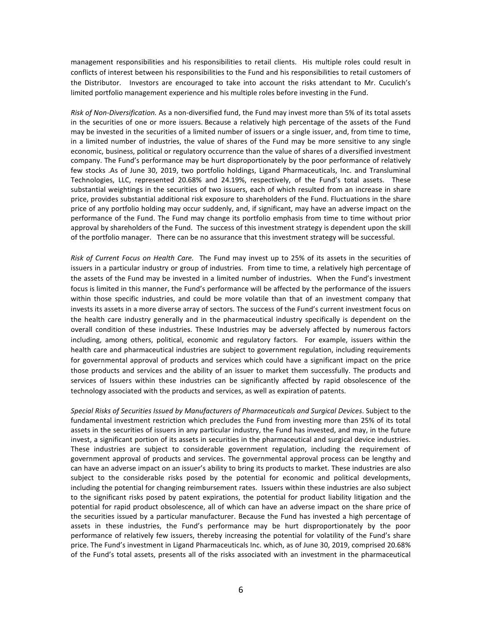management responsibilities and his responsibilities to retail clients. His multiple roles could result in conflicts of interest between his responsibilities to the Fund and his responsibilities to retail customers of the Distributor. Investors are encouraged to take into account the risks attendant to Mr. Cuculich's limited portfolio management experience and his multiple roles before investing in the Fund.

*Risk of Non-Diversification.* As a non-diversified fund, the Fund may invest more than 5% of its total assets in the securities of one or more issuers. Because a relatively high percentage of the assets of the Fund may be invested in the securities of a limited number of issuers or a single issuer, and, from time to time, in a limited number of industries, the value of shares of the Fund may be more sensitive to any single economic, business, political or regulatory occurrence than the value of shares of a diversified investment company. The Fund's performance may be hurt disproportionately by the poor performance of relatively few stocks .As of June 30, 2019, two portfolio holdings, Ligand Pharmaceuticals, Inc. and Transluminal Technologies, LLC, represented 20.68% and 24.19%, respectively, of the Fund's total assets. These substantial weightings in the securities of two issuers, each of which resulted from an increase in share price, provides substantial additional risk exposure to shareholders of the Fund. Fluctuations in the share price of any portfolio holding may occur suddenly, and, if significant, may have an adverse impact on the performance of the Fund. The Fund may change its portfolio emphasis from time to time without prior approval by shareholders of the Fund. The success of this investment strategy is dependent upon the skill of the portfolio manager. There can be no assurance that this investment strategy will be successful.

*Risk of Current Focus on Health Care.* The Fund may invest up to 25% of its assets in the securities of issuers in a particular industry or group of industries. From time to time, a relatively high percentage of the assets of the Fund may be invested in a limited number of industries. When the Fund's investment focus is limited in this manner, the Fund's performance will be affected by the performance of the issuers within those specific industries, and could be more volatile than that of an investment company that invests its assets in a more diverse array of sectors. The success of the Fund's current investment focus on the health care industry generally and in the pharmaceutical industry specifically is dependent on the overall condition of these industries. These Industries may be adversely affected by numerous factors including, among others, political, economic and regulatory factors. For example, issuers within the health care and pharmaceutical industries are subject to government regulation, including requirements for governmental approval of products and services which could have a significant impact on the price those products and services and the ability of an issuer to market them successfully. The products and services of Issuers within these industries can be significantly affected by rapid obsolescence of the technology associated with the products and services, as well as expiration of patents.

*Special Risks of Securities Issued by Manufacturers of Pharmaceuticals and Surgical Devices*. Subject to the fundamental investment restriction which precludes the Fund from investing more than 25% of its total assets in the securities of issuers in any particular industry, the Fund has invested, and may, in the future invest, a significant portion of its assets in securities in the pharmaceutical and surgical device industries. These industries are subject to considerable government regulation, including the requirement of government approval of products and services. The governmental approval process can be lengthy and can have an adverse impact on an issuer's ability to bring its products to market. These industries are also subject to the considerable risks posed by the potential for economic and political developments, including the potential for changing reimbursement rates. Issuers within these industries are also subject to the significant risks posed by patent expirations, the potential for product liability litigation and the potential for rapid product obsolescence, all of which can have an adverse impact on the share price of the securities issued by a particular manufacturer. Because the Fund has invested a high percentage of assets in these industries, the Fund's performance may be hurt disproportionately by the poor performance of relatively few issuers, thereby increasing the potential for volatility of the Fund's share price. The Fund's investment in Ligand Pharmaceuticals Inc. which, as of June 30, 2019, comprised 20.68% of the Fund's total assets, presents all of the risks associated with an investment in the pharmaceutical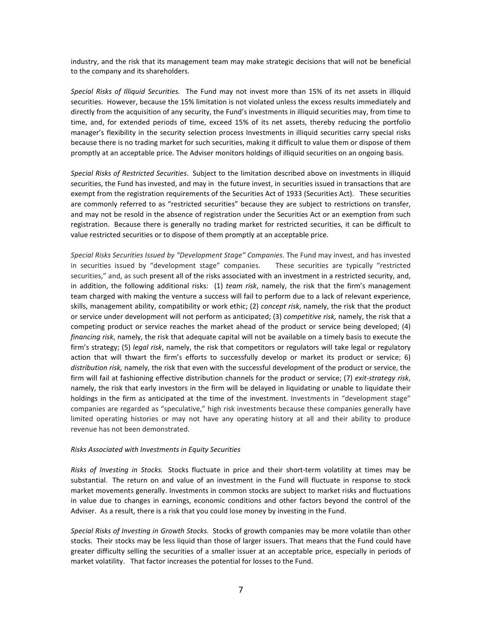industry, and the risk that its management team may make strategic decisions that will not be beneficial to the company and its shareholders.

*Special Risks of Illiquid Securities.* The Fund may not invest more than 15% of its net assets in illiquid securities. However, because the 15% limitation is not violated unless the excess results immediately and directly from the acquisition of any security, the Fund's investments in illiquid securities may, from time to time, and, for extended periods of time, exceed 15% of its net assets, thereby reducing the portfolio manager's flexibility in the security selection process Investments in illiquid securities carry special risks because there is no trading market for such securities, making it difficult to value them or dispose of them promptly at an acceptable price. The Adviser monitors holdings of illiquid securities on an ongoing basis.

*Special Risks of Restricted Securities*. Subject to the limitation described above on investments in illiquid securities, the Fund has invested, and may in the future invest, in securities issued in transactions that are exempt from the registration requirements of the Securities Act of 1933 (Securities Act). These securities are commonly referred to as "restricted securities" because they are subject to restrictions on transfer, and may not be resold in the absence of registration under the Securities Act or an exemption from such registration. Because there is generally no trading market for restricted securities, it can be difficult to value restricted securities or to dispose of them promptly at an acceptable price.

*Special Risks Securities Issued by "Development Stage" Companies*. The Fund may invest, and has invested in securities issued by "development stage" companies. These securities are typically "restricted securities," and, as such present all of the risks associated with an investment in a restricted security, and, in addition, the following additional risks: (1) *team risk*, namely, the risk that the firm's management team charged with making the venture a success will fail to perform due to a lack of relevant experience, skills, management ability, compatibility or work ethic; (2) *concept risk*, namely, the risk that the product or service under development will not perform as anticipated; (3) *competitive risk,* namely, the risk that a competing product or service reaches the market ahead of the product or service being developed; (4) *financing risk*, namely, the risk that adequate capital will not be available on a timely basis to execute the firm's strategy; (5) *legal risk*, namely, the risk that competitors or regulators will take legal or regulatory action that will thwart the firm's efforts to successfully develop or market its product or service; 6) *distribution risk,* namely, the risk that even with the successful development of the product or service, the firm will fail at fashioning effective distribution channels for the product or service; (7) *exit-strategy risk*, namely, the risk that early investors in the firm will be delayed in liquidating or unable to liquidate their holdings in the firm as anticipated at the time of the investment. Investments in "development stage" companies are regarded as "speculative," high risk investments because these companies generally have limited operating histories or may not have any operating history at all and their ability to produce revenue has not been demonstrated.

#### *Risks Associated with Investments in Equity Securities*

*Risks of Investing in Stocks.* Stocks fluctuate in price and their short-term volatility at times may be substantial. The return on and value of an investment in the Fund will fluctuate in response to stock market movements generally. Investments in common stocks are subject to market risks and fluctuations in value due to changes in earnings, economic conditions and other factors beyond the control of the Adviser. As a result, there is a risk that you could lose money by investing in the Fund.

*Special Risks of Investing in Growth Stocks.*Stocks of growth companies may be more volatile than other stocks. Their stocks may be less liquid than those of larger issuers. That means that the Fund could have greater difficulty selling the securities of a smaller issuer at an acceptable price, especially in periods of market volatility. That factor increases the potential for losses to the Fund.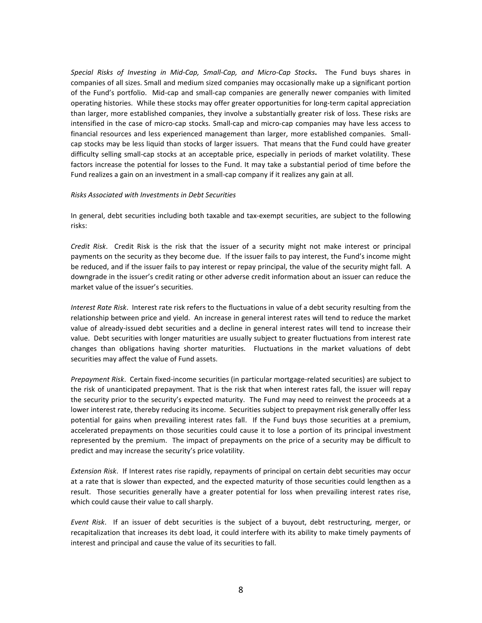*Special Risks of Investing in Mid-Cap, Small-Cap, and Micro-Cap Stocks***.** The Fund buys shares in companies of all sizes. Small and medium sized companies may occasionally make up a significant portion of the Fund's portfolio. Mid-cap and small-cap companies are generally newer companies with limited operating histories. While these stocks may offer greater opportunities for long-term capital appreciation than larger, more established companies, they involve a substantially greater risk of loss. These risks are intensified in the case of micro-cap stocks. Small-cap and micro-cap companies may have less access to financial resources and less experienced management than larger, more established companies. Smallcap stocks may be less liquid than stocks of larger issuers. That means that the Fund could have greater difficulty selling small-cap stocks at an acceptable price, especially in periods of market volatility. These factors increase the potential for losses to the Fund. It may take a substantial period of time before the Fund realizes a gain on an investment in a small-cap company if it realizes any gain at all.

#### *Risks Associated with Investments in Debt Securities*

In general, debt securities including both taxable and tax-exempt securities, are subject to the following risks:

*Credit Risk*. Credit Risk is the risk that the issuer of a security might not make interest or principal payments on the security as they become due. If the issuer fails to pay interest, the Fund's income might be reduced, and if the issuer fails to pay interest or repay principal, the value of the security might fall. A downgrade in the issuer's credit rating or other adverse credit information about an issuer can reduce the market value of the issuer's securities.

*Interest Rate Risk*. Interest rate risk refers to the fluctuations in value of a debt security resulting from the relationship between price and yield. An increase in general interest rates will tend to reduce the market value of already-issued debt securities and a decline in general interest rates will tend to increase their value. Debt securities with longer maturities are usually subject to greater fluctuations from interest rate changes than obligations having shorter maturities. Fluctuations in the market valuations of debt securities may affect the value of Fund assets.

*Prepayment Risk*. Certain fixed-income securities (in particular mortgage-related securities) are subject to the risk of unanticipated prepayment. That is the risk that when interest rates fall, the issuer will repay the security prior to the security's expected maturity. The Fund may need to reinvest the proceeds at a lower interest rate, thereby reducing its income. Securities subject to prepayment risk generally offer less potential for gains when prevailing interest rates fall. If the Fund buys those securities at a premium, accelerated prepayments on those securities could cause it to lose a portion of its principal investment represented by the premium. The impact of prepayments on the price of a security may be difficult to predict and may increase the security's price volatility.

*Extension Risk*. If Interest rates rise rapidly, repayments of principal on certain debt securities may occur at a rate that is slower than expected, and the expected maturity of those securities could lengthen as a result. Those securities generally have a greater potential for loss when prevailing interest rates rise, which could cause their value to call sharply.

*Event Risk*. If an issuer of debt securities is the subject of a buyout, debt restructuring, merger, or recapitalization that increases its debt load, it could interfere with its ability to make timely payments of interest and principal and cause the value of its securities to fall.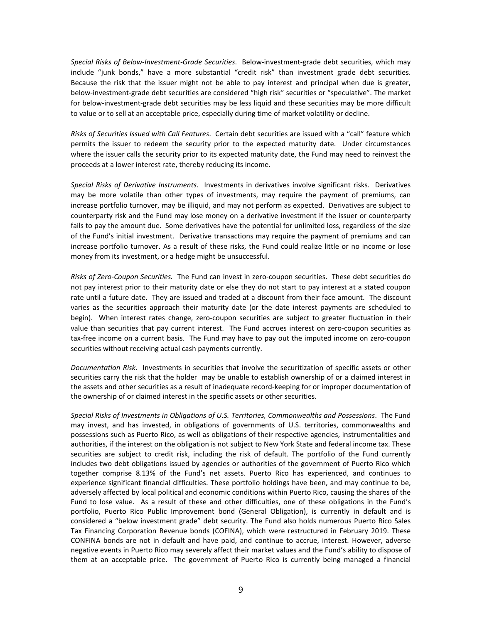*Special Risks of Below-Investment-Grade Securities*. Below-investment-grade debt securities, which may include "junk bonds," have a more substantial "credit risk" than investment grade debt securities. Because the risk that the issuer might not be able to pay interest and principal when due is greater, below-investment-grade debt securities are considered "high risk" securities or "speculative". The market for below-investment-grade debt securities may be less liquid and these securities may be more difficult to value or to sell at an acceptable price, especially during time of market volatility or decline.

*Risks of Securities Issued with Call Features*. Certain debt securities are issued with a "call" feature which permits the issuer to redeem the security prior to the expected maturity date. Under circumstances where the issuer calls the security prior to its expected maturity date, the Fund may need to reinvest the proceeds at a lower interest rate, thereby reducing its income.

*Special Risks of Derivative Instruments*. Investments in derivatives involve significant risks. Derivatives may be more volatile than other types of investments, may require the payment of premiums, can increase portfolio turnover, may be illiquid, and may not perform as expected. Derivatives are subject to counterparty risk and the Fund may lose money on a derivative investment if the issuer or counterparty fails to pay the amount due. Some derivatives have the potential for unlimited loss, regardless of the size of the Fund's initial investment. Derivative transactions may require the payment of premiums and can increase portfolio turnover. As a result of these risks, the Fund could realize little or no income or lose money from its investment, or a hedge might be unsuccessful.

*Risks of Zero-Coupon Securities.* The Fund can invest in zero-coupon securities. These debt securities do not pay interest prior to their maturity date or else they do not start to pay interest at a stated coupon rate until a future date. They are issued and traded at a discount from their face amount. The discount varies as the securities approach their maturity date (or the date interest payments are scheduled to begin). When interest rates change, zero-coupon securities are subject to greater fluctuation in their value than securities that pay current interest. The Fund accrues interest on zero-coupon securities as tax-free income on a current basis. The Fund may have to pay out the imputed income on zero-coupon securities without receiving actual cash payments currently.

*Documentation Risk.* Investments in securities that involve the securitization of specific assets or other securities carry the risk that the holder may be unable to establish ownership of or a claimed interest in the assets and other securities as a result of inadequate record-keeping for or improper documentation of the ownership of or claimed interest in the specific assets or other securities.

*Special Risks of Investments in Obligations of U.S. Territories, Commonwealths and Possessions*. The Fund may invest, and has invested, in obligations of governments of U.S. territories, commonwealths and possessions such as Puerto Rico, as well as obligations of their respective agencies, instrumentalities and authorities, if the interest on the obligation is not subject to New York State and federal income tax. These securities are subject to credit risk, including the risk of default. The portfolio of the Fund currently includes two debt obligations issued by agencies or authorities of the government of Puerto Rico which together comprise 8.13% of the Fund's net assets. Puerto Rico has experienced, and continues to experience significant financial difficulties. These portfolio holdings have been, and may continue to be, adversely affected by local political and economic conditions within Puerto Rico, causing the shares of the Fund to lose value. As a result of these and other difficulties, one of these obligations in the Fund's portfolio, Puerto Rico Public Improvement bond (General Obligation), is currently in default and is considered a "below investment grade" debt security. The Fund also holds numerous Puerto Rico Sales Tax Financing Corporation Revenue bonds (COFINA), which were restructured in February 2019. These CONFINA bonds are not in default and have paid, and continue to accrue, interest. However, adverse negative events in Puerto Rico may severely affect their market values and the Fund's ability to dispose of them at an acceptable price. The government of Puerto Rico is currently being managed a financial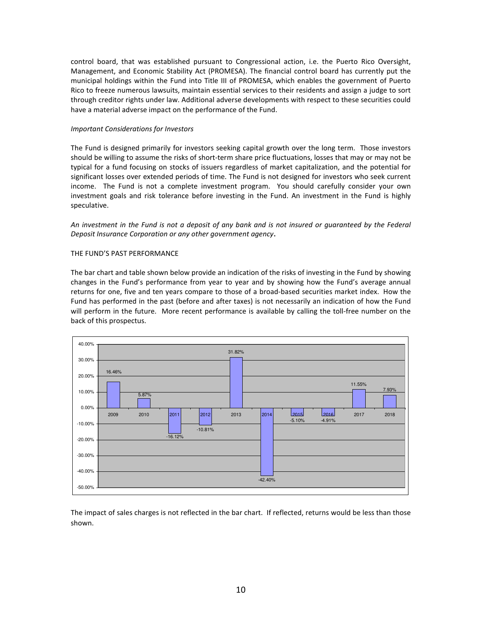control board, that was established pursuant to Congressional action, i.e. the Puerto Rico Oversight, Management, and Economic Stability Act (PROMESA). The financial control board has currently put the municipal holdings within the Fund into Title III of PROMESA, which enables the government of Puerto Rico to freeze numerous lawsuits, maintain essential services to their residents and assign a judge to sort through creditor rights under law. Additional adverse developments with respect to these securities could have a material adverse impact on the performance of the Fund.

### *Important Considerations for Investors*

The Fund is designed primarily for investors seeking capital growth over the long term. Those investors should be willing to assume the risks of short-term share price fluctuations, losses that may or may not be typical for a fund focusing on stocks of issuers regardless of market capitalization, and the potential for significant losses over extended periods of time. The Fund is not designed for investors who seek current income. The Fund is not a complete investment program. You should carefully consider your own investment goals and risk tolerance before investing in the Fund. An investment in the Fund is highly speculative.

*An investment in the Fund is not a deposit of any bank and is not insured or guaranteed by the Federal Deposit Insurance Corporation or any other government agency.* 

# THE FUND'S PAST PERFORMANCE

The bar chart and table shown below provide an indication of the risks of investing in the Fund by showing changes in the Fund's performance from year to year and by showing how the Fund's average annual returns for one, five and ten years compare to those of a broad-based securities market index. How the Fund has performed in the past (before and after taxes) is not necessarily an indication of how the Fund will perform in the future. More recent performance is available by calling the toll-free number on the back of this prospectus.



The impact of sales charges is not reflected in the bar chart. If reflected, returns would be less than those shown.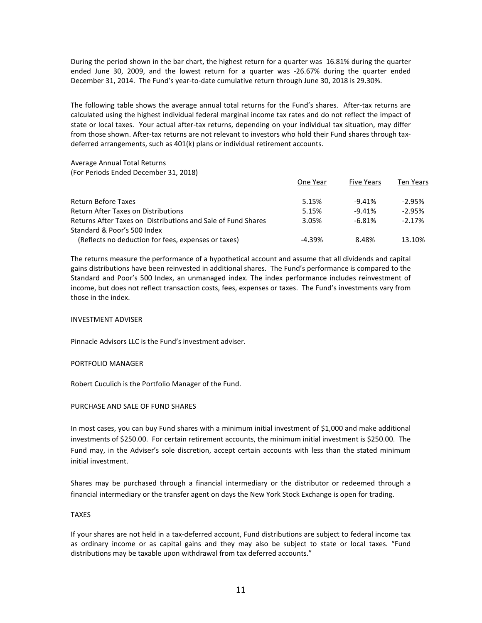During the period shown in the bar chart, the highest return for a quarter was 16.81% during the quarter ended June 30, 2009, and the lowest return for a quarter was -26.67% during the quarter ended December 31, 2014. The Fund's year-to-date cumulative return through June 30, 2018 is 29.30%.

The following table shows the average annual total returns for the Fund's shares. After-tax returns are calculated using the highest individual federal marginal income tax rates and do not reflect the impact of state or local taxes. Your actual after-tax returns, depending on your individual tax situation, may differ from those shown. After-tax returns are not relevant to investors who hold their Fund shares through taxdeferred arrangements, such as 401(k) plans or individual retirement accounts.

Average Annual Total Returns

(For Periods Ended December 31, 2018)

|                                                              | One Year | <b>Five Years</b> | <b>Ten Years</b> |
|--------------------------------------------------------------|----------|-------------------|------------------|
| Return Before Taxes                                          | 5.15%    | $-9.41%$          | $-2.95%$         |
| <b>Return After Taxes on Distributions</b>                   | 5.15%    | $-9.41%$          | $-2.95%$         |
| Returns After Taxes on Distributions and Sale of Fund Shares | 3.05%    | $-6.81%$          | $-2.17%$         |
| Standard & Poor's 500 Index                                  |          |                   |                  |
| (Reflects no deduction for fees, expenses or taxes)          | $-4.39%$ | 8.48%             | 13.10%           |

The returns measure the performance of a hypothetical account and assume that all dividends and capital gains distributions have been reinvested in additional shares. The Fund's performance is compared to the Standard and Poor's 500 Index, an unmanaged index. The index performance includes reinvestment of income, but does not reflect transaction costs, fees, expenses or taxes. The Fund's investments vary from those in the index.

# INVESTMENT ADVISER

Pinnacle Advisors LLC is the Fund's investment adviser.

#### PORTFOLIO MANAGER

Robert Cuculich is the Portfolio Manager of the Fund.

# PURCHASE AND SALE OF FUND SHARES

In most cases, you can buy Fund shares with a minimum initial investment of \$1,000 and make additional investments of \$250.00. For certain retirement accounts, the minimum initial investment is \$250.00. The Fund may, in the Adviser's sole discretion, accept certain accounts with less than the stated minimum initial investment.

Shares may be purchased through a financial intermediary or the distributor or redeemed through a financial intermediary or the transfer agent on days the New York Stock Exchange is open for trading.

# TAXES

If your shares are not held in a tax-deferred account, Fund distributions are subject to federal income tax as ordinary income or as capital gains and they may also be subject to state or local taxes. "Fund distributions may be taxable upon withdrawal from tax deferred accounts."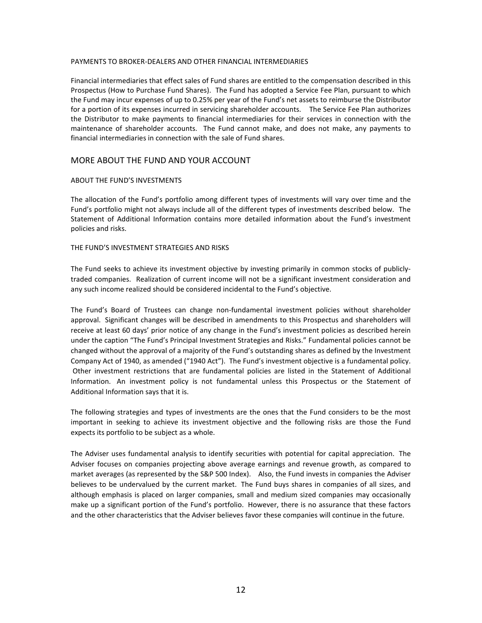#### PAYMENTS TO BROKER-DEALERS AND OTHER FINANCIAL INTERMEDIARIES

Financial intermediaries that effect sales of Fund shares are entitled to the compensation described in this Prospectus (How to Purchase Fund Shares). The Fund has adopted a Service Fee Plan, pursuant to which the Fund may incur expenses of up to 0.25% per year of the Fund's net assets to reimburse the Distributor for a portion of its expenses incurred in servicing shareholder accounts. The Service Fee Plan authorizes the Distributor to make payments to financial intermediaries for their services in connection with the maintenance of shareholder accounts. The Fund cannot make, and does not make, any payments to financial intermediaries in connection with the sale of Fund shares.

# MORE ABOUT THE FUND AND YOUR ACCOUNT

#### ABOUT THE FUND'S INVESTMENTS

The allocation of the Fund's portfolio among different types of investments will vary over time and the Fund's portfolio might not always include all of the different types of investments described below. The Statement of Additional Information contains more detailed information about the Fund's investment policies and risks.

### THE FUND'S INVESTMENT STRATEGIES AND RISKS

The Fund seeks to achieve its investment objective by investing primarily in common stocks of publiclytraded companies. Realization of current income will not be a significant investment consideration and any such income realized should be considered incidental to the Fund's objective.

The Fund's Board of Trustees can change non-fundamental investment policies without shareholder approval. Significant changes will be described in amendments to this Prospectus and shareholders will receive at least 60 days' prior notice of any change in the Fund's investment policies as described herein under the caption "The Fund's Principal Investment Strategies and Risks." Fundamental policies cannot be changed without the approval of a majority of the Fund's outstanding shares as defined by the Investment Company Act of 1940, as amended ("1940 Act"). The Fund's investment objective is a fundamental policy. Other investment restrictions that are fundamental policies are listed in the Statement of Additional Information. An investment policy is not fundamental unless this Prospectus or the Statement of Additional Information says that it is.

The following strategies and types of investments are the ones that the Fund considers to be the most important in seeking to achieve its investment objective and the following risks are those the Fund expects its portfolio to be subject as a whole.

The Adviser uses fundamental analysis to identify securities with potential for capital appreciation. The Adviser focuses on companies projecting above average earnings and revenue growth, as compared to market averages (as represented by the S&P 500 Index). Also, the Fund invests in companies the Adviser believes to be undervalued by the current market. The Fund buys shares in companies of all sizes, and although emphasis is placed on larger companies, small and medium sized companies may occasionally make up a significant portion of the Fund's portfolio. However, there is no assurance that these factors and the other characteristics that the Adviser believes favor these companies will continue in the future.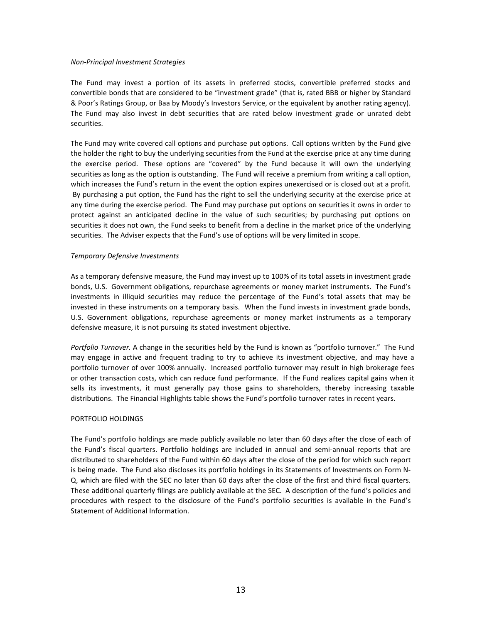#### *Non-Principal Investment Strategies*

The Fund may invest a portion of its assets in preferred stocks, convertible preferred stocks and convertible bonds that are considered to be "investment grade" (that is, rated BBB or higher by Standard & Poor's Ratings Group, or Baa by Moody's Investors Service, or the equivalent by another rating agency). The Fund may also invest in debt securities that are rated below investment grade or unrated debt securities.

The Fund may write covered call options and purchase put options. Call options written by the Fund give the holder the right to buy the underlying securities from the Fund at the exercise price at any time during the exercise period. These options are "covered" by the Fund because it will own the underlying securities as long as the option is outstanding. The Fund will receive a premium from writing a call option, which increases the Fund's return in the event the option expires unexercised or is closed out at a profit. By purchasing a put option, the Fund has the right to sell the underlying security at the exercise price at any time during the exercise period. The Fund may purchase put options on securities it owns in order to protect against an anticipated decline in the value of such securities; by purchasing put options on securities it does not own, the Fund seeks to benefit from a decline in the market price of the underlying securities. The Adviser expects that the Fund's use of options will be very limited in scope.

### *Temporary Defensive Investments*

As a temporary defensive measure, the Fund may invest up to 100% of its total assets in investment grade bonds, U.S. Government obligations, repurchase agreements or money market instruments. The Fund's investments in illiquid securities may reduce the percentage of the Fund's total assets that may be invested in these instruments on a temporary basis. When the Fund invests in investment grade bonds, U.S. Government obligations, repurchase agreements or money market instruments as a temporary defensive measure, it is not pursuing its stated investment objective.

*Portfolio Turnover.* A change in the securities held by the Fund is known as "portfolio turnover." The Fund may engage in active and frequent trading to try to achieve its investment objective, and may have a portfolio turnover of over 100% annually. Increased portfolio turnover may result in high brokerage fees or other transaction costs, which can reduce fund performance. If the Fund realizes capital gains when it sells its investments, it must generally pay those gains to shareholders, thereby increasing taxable distributions. The Financial Highlights table shows the Fund's portfolio turnover rates in recent years.

#### PORTFOLIO HOLDINGS

The Fund's portfolio holdings are made publicly available no later than 60 days after the close of each of the Fund's fiscal quarters. Portfolio holdings are included in annual and semi-annual reports that are distributed to shareholders of the Fund within 60 days after the close of the period for which such report is being made. The Fund also discloses its portfolio holdings in its Statements of Investments on Form N-Q, which are filed with the SEC no later than 60 days after the close of the first and third fiscal quarters. These additional quarterly filings are publicly available at the SEC. A description of the fund's policies and procedures with respect to the disclosure of the Fund's portfolio securities is available in the Fund's Statement of Additional Information.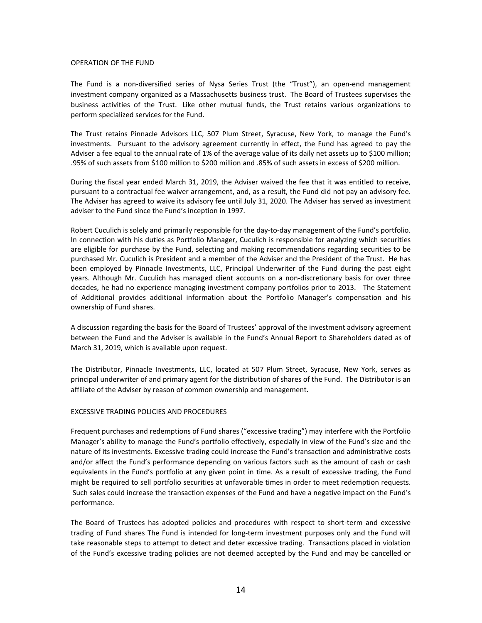#### OPERATION OF THE FUND

The Fund is a non-diversified series of Nysa Series Trust (the "Trust"), an open-end management investment company organized as a Massachusetts business trust. The Board of Trustees supervises the business activities of the Trust. Like other mutual funds, the Trust retains various organizations to perform specialized services for the Fund.

The Trust retains Pinnacle Advisors LLC, 507 Plum Street, Syracuse, New York, to manage the Fund's investments. Pursuant to the advisory agreement currently in effect, the Fund has agreed to pay the Adviser a fee equal to the annual rate of 1% of the average value of its daily net assets up to \$100 million; .95% of such assets from \$100 million to \$200 million and .85% of such assets in excess of \$200 million.

During the fiscal year ended March 31, 2019, the Adviser waived the fee that it was entitled to receive, pursuant to a contractual fee waiver arrangement, and, as a result, the Fund did not pay an advisory fee. The Adviser has agreed to waive its advisory fee until July 31, 2020. The Adviser has served as investment adviser to the Fund since the Fund's inception in 1997.

Robert Cuculich is solely and primarily responsible for the day-to-day management of the Fund's portfolio. In connection with his duties as Portfolio Manager, Cuculich is responsible for analyzing which securities are eligible for purchase by the Fund, selecting and making recommendations regarding securities to be purchased Mr. Cuculich is President and a member of the Adviser and the President of the Trust. He has been employed by Pinnacle Investments, LLC, Principal Underwriter of the Fund during the past eight years. Although Mr. Cuculich has managed client accounts on a non-discretionary basis for over three decades, he had no experience managing investment company portfolios prior to 2013. The Statement of Additional provides additional information about the Portfolio Manager's compensation and his ownership of Fund shares.

A discussion regarding the basis for the Board of Trustees' approval of the investment advisory agreement between the Fund and the Adviser is available in the Fund's Annual Report to Shareholders dated as of March 31, 2019, which is available upon request.

The Distributor, Pinnacle Investments, LLC, located at 507 Plum Street, Syracuse, New York, serves as principal underwriter of and primary agent for the distribution of shares of the Fund. The Distributor is an affiliate of the Adviser by reason of common ownership and management.

### EXCESSIVE TRADING POLICIES AND PROCEDURES

Frequent purchases and redemptions of Fund shares ("excessive trading") may interfere with the Portfolio Manager's ability to manage the Fund's portfolio effectively, especially in view of the Fund's size and the nature of its investments. Excessive trading could increase the Fund's transaction and administrative costs and/or affect the Fund's performance depending on various factors such as the amount of cash or cash equivalents in the Fund's portfolio at any given point in time. As a result of excessive trading, the Fund might be required to sell portfolio securities at unfavorable times in order to meet redemption requests. Such sales could increase the transaction expenses of the Fund and have a negative impact on the Fund's performance.

The Board of Trustees has adopted policies and procedures with respect to short-term and excessive trading of Fund shares The Fund is intended for long-term investment purposes only and the Fund will take reasonable steps to attempt to detect and deter excessive trading. Transactions placed in violation of the Fund's excessive trading policies are not deemed accepted by the Fund and may be cancelled or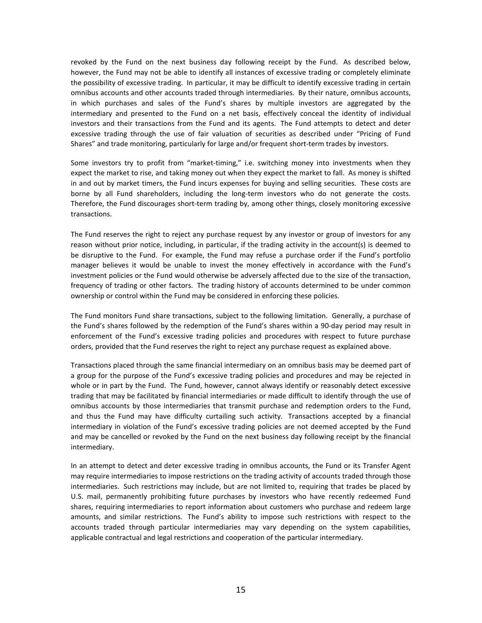revoked by the Fund on the next business day following receipt by the Fund. As described below, however, the Fund may not be able to identify all instances of excessive trading or completely eliminate the possibility of excessive trading. In particular, it may be difficult to identify excessive trading in certain omnibus accounts and other accounts traded through intermediaries. By their nature, omnibus accounts, in which purchases and sales of the Fund's shares by multiple investors are aggregated by the intermediary and presented to the Fund on a net basis, effectively conceal the identity of individual investors and their transactions from the Fund and its agents. The Fund attempts to detect and deter excessive trading through the use of fair valuation of securities as described under "Pricing of Fund Shares" and trade monitoring, particularly for large and/or frequent short-term trades by investors.

Some investors try to profit from "market-timing," i.e. switching money into investments when they expect the market to rise, and taking money out when they expect the market to fall. As money is shifted in and out by market timers, the Fund incurs expenses for buying and selling securities. These costs are borne by all Fund shareholders, including the long-term investors who do not generate the costs. Therefore, the Fund discourages short-term trading by, among other things, closely monitoring excessive transactions.

The Fund reserves the right to reject any purchase request by any investor or group of investors for any reason without prior notice, including, in particular, if the trading activity in the account(s) is deemed to be disruptive to the Fund. For example, the Fund may refuse a purchase order if the Fund's portfolio manager believes it would be unable to invest the money effectively in accordance with the Fund's investment policies or the Fund would otherwise be adversely affected due to the size of the transaction, frequency of trading or other factors. The trading history of accounts determined to be under common ownership or control within the Fund may be considered in enforcing these policies.

The Fund monitors Fund share transactions, subject to the following limitation. Generally, a purchase of the Fund's shares followed by the redemption of the Fund's shares within a 90-day period may result in enforcement of the Fund's excessive trading policies and procedures with respect to future purchase orders, provided that the Fund reserves the right to reject any purchase request as explained above.

Transactions placed through the same financial intermediary on an omnibus basis may be deemed part of a group for the purpose of the Fund's excessive trading policies and procedures and may be rejected in whole or in part by the Fund. The Fund, however, cannot always identify or reasonably detect excessive trading that may be facilitated by financial intermediaries or made difficult to identify through the use of omnibus accounts by those intermediaries that transmit purchase and redemption orders to the Fund, and thus the Fund may have difficulty curtailing such activity. Transactions accepted by a financial intermediary in violation of the Fund's excessive trading policies are not deemed accepted by the Fund and may be cancelled or revoked by the Fund on the next business day following receipt by the financial intermediary.

In an attempt to detect and deter excessive trading in omnibus accounts, the Fund or its Transfer Agent may require intermediaries to impose restrictions on the trading activity of accounts traded through those intermediaries. Such restrictions may include, but are not limited to, requiring that trades be placed by U.S. mail, permanently prohibiting future purchases by investors who have recently redeemed Fund shares, requiring intermediaries to report information about customers who purchase and redeem large amounts, and similar restrictions. The Fund's ability to impose such restrictions with respect to the accounts traded through particular intermediaries may vary depending on the system capabilities, applicable contractual and legal restrictions and cooperation of the particular intermediary.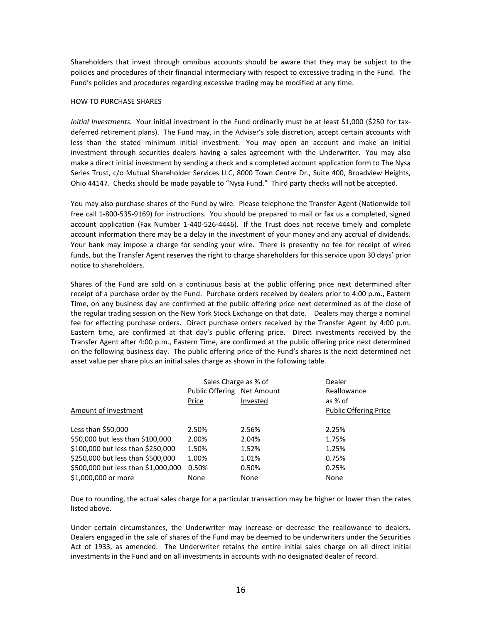Shareholders that invest through omnibus accounts should be aware that they may be subject to the policies and procedures of their financial intermediary with respect to excessive trading in the Fund. The Fund's policies and procedures regarding excessive trading may be modified at any time.

#### HOW TO PURCHASE SHARES

*Initial Investments.* Your initial investment in the Fund ordinarily must be at least \$1,000 (\$250 for taxdeferred retirement plans). The Fund may, in the Adviser's sole discretion, accept certain accounts with less than the stated minimum initial investment. You may open an account and make an initial investment through securities dealers having a sales agreement with the Underwriter. You may also make a direct initial investment by sending a check and a completed account application form to The Nysa Series Trust, c/o Mutual Shareholder Services LLC, 8000 Town Centre Dr., Suite 400, Broadview Heights, Ohio 44147. Checks should be made payable to "Nysa Fund." Third party checks will not be accepted.

You may also purchase shares of the Fund by wire. Please telephone the Transfer Agent (Nationwide toll free call 1-800-535-9169) for instructions. You should be prepared to mail or fax us a completed, signed account application (Fax Number 1-440-526-4446). If the Trust does not receive timely and complete account information there may be a delay in the investment of your money and any accrual of dividends. Your bank may impose a charge for sending your wire. There is presently no fee for receipt of wired funds, but the Transfer Agent reserves the right to charge shareholders for this service upon 30 days' prior notice to shareholders.

Shares of the Fund are sold on a continuous basis at the public offering price next determined after receipt of a purchase order by the Fund. Purchase orders received by dealers prior to 4:00 p.m., Eastern Time, on any business day are confirmed at the public offering price next determined as of the close of the regular trading session on the New York Stock Exchange on that date. Dealers may charge a nominal fee for effecting purchase orders. Direct purchase orders received by the Transfer Agent by 4:00 p.m. Eastern time, are confirmed at that day's public offering price. Direct investments received by the Transfer Agent after 4:00 p.m., Eastern Time, are confirmed at the public offering price next determined on the following business day. The public offering price of the Fund's shares is the next determined net asset value per share plus an initial sales charge as shown in the following table.

|                                     | Sales Charge as % of       |             | Dealer                       |
|-------------------------------------|----------------------------|-------------|------------------------------|
|                                     | Public Offering Net Amount | Reallowance |                              |
|                                     | Price                      | Invested    | as % of                      |
| Amount of Investment                |                            |             | <b>Public Offering Price</b> |
|                                     |                            |             |                              |
| Less than $$50,000$                 | 2.50%                      | 2.56%       | 2.25%                        |
| \$50,000 but less than \$100,000    | 2.00%                      | 2.04%       | 1.75%                        |
| \$100,000 but less than \$250,000   | 1.50%                      | 1.52%       | 1.25%                        |
| \$250,000 but less than \$500,000   | 1.00%                      | 1.01%       | 0.75%                        |
| \$500,000 but less than \$1,000,000 | 0.50%                      | 0.50%       | 0.25%                        |
| \$1,000,000 or more                 | None                       | None        | None                         |

Due to rounding, the actual sales charge for a particular transaction may be higher or lower than the rates listed above.

Under certain circumstances, the Underwriter may increase or decrease the reallowance to dealers. Dealers engaged in the sale of shares of the Fund may be deemed to be underwriters under the Securities Act of 1933, as amended. The Underwriter retains the entire initial sales charge on all direct initial investments in the Fund and on all investments in accounts with no designated dealer of record.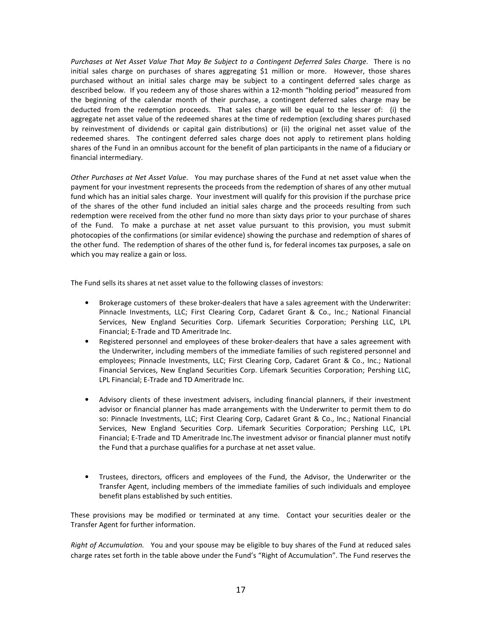*Purchases at Net Asset Value That May Be Subject to a Contingent Deferred Sales Charge.*There is no initial sales charge on purchases of shares aggregating \$1 million or more. However, those shares purchased without an initial sales charge may be subject to a contingent deferred sales charge as described below. If you redeem any of those shares within a 12-month "holding period" measured from the beginning of the calendar month of their purchase, a contingent deferred sales charge may be deducted from the redemption proceeds. That sales charge will be equal to the lesser of: (i) the aggregate net asset value of the redeemed shares at the time of redemption (excluding shares purchased by reinvestment of dividends or capital gain distributions) or (ii) the original net asset value of the redeemed shares. The contingent deferred sales charge does not apply to retirement plans holding shares of the Fund in an omnibus account for the benefit of plan participants in the name of a fiduciary or financial intermediary.

*Other Purchases at Net Asset Value*. You may purchase shares of the Fund at net asset value when the payment for your investment represents the proceeds from the redemption of shares of any other mutual fund which has an initial sales charge. Your investment will qualify for this provision if the purchase price of the shares of the other fund included an initial sales charge and the proceeds resulting from such redemption were received from the other fund no more than sixty days prior to your purchase of shares of the Fund. To make a purchase at net asset value pursuant to this provision, you must submit photocopies of the confirmations (or similar evidence) showing the purchase and redemption of shares of the other fund. The redemption of shares of the other fund is, for federal incomes tax purposes, a sale on which you may realize a gain or loss.

The Fund sells its shares at net asset value to the following classes of investors:

- Brokerage customers of these broker-dealers that have a sales agreement with the Underwriter: Pinnacle Investments, LLC; First Clearing Corp, Cadaret Grant & Co., Inc.; National Financial Services, New England Securities Corp. Lifemark Securities Corporation; Pershing LLC, LPL Financial; E-Trade and TD Ameritrade Inc.
- Registered personnel and employees of these broker-dealers that have a sales agreement with the Underwriter, including members of the immediate families of such registered personnel and employees; Pinnacle Investments, LLC; First Clearing Corp, Cadaret Grant & Co., Inc.; National Financial Services, New England Securities Corp. Lifemark Securities Corporation; Pershing LLC, LPL Financial; E-Trade and TD Ameritrade Inc.
- Advisory clients of these investment advisers, including financial planners, if their investment advisor or financial planner has made arrangements with the Underwriter to permit them to do so: Pinnacle Investments, LLC; First Clearing Corp, Cadaret Grant & Co., Inc.; National Financial Services, New England Securities Corp. Lifemark Securities Corporation; Pershing LLC, LPL Financial; E-Trade and TD Ameritrade Inc.The investment advisor or financial planner must notify the Fund that a purchase qualifies for a purchase at net asset value.
- Trustees, directors, officers and employees of the Fund, the Advisor, the Underwriter or the Transfer Agent, including members of the immediate families of such individuals and employee benefit plans established by such entities.

These provisions may be modified or terminated at any time. Contact your securities dealer or the Transfer Agent for further information.

*Right of Accumulation.* You and your spouse may be eligible to buy shares of the Fund at reduced sales charge rates set forth in the table above under the Fund's "Right of Accumulation". The Fund reserves the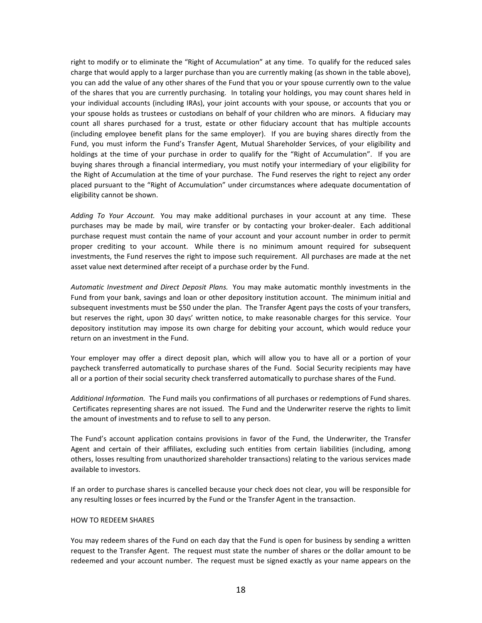right to modify or to eliminate the "Right of Accumulation" at any time. To qualify for the reduced sales charge that would apply to a larger purchase than you are currently making (as shown in the table above), you can add the value of any other shares of the Fund that you or your spouse currently own to the value of the shares that you are currently purchasing. In totaling your holdings, you may count shares held in your individual accounts (including IRAs), your joint accounts with your spouse, or accounts that you or your spouse holds as trustees or custodians on behalf of your children who are minors. A fiduciary may count all shares purchased for a trust, estate or other fiduciary account that has multiple accounts (including employee benefit plans for the same employer). If you are buying shares directly from the Fund, you must inform the Fund's Transfer Agent, Mutual Shareholder Services, of your eligibility and holdings at the time of your purchase in order to qualify for the "Right of Accumulation". If you are buying shares through a financial intermediary, you must notify your intermediary of your eligibility for the Right of Accumulation at the time of your purchase. The Fund reserves the right to reject any order placed pursuant to the "Right of Accumulation" under circumstances where adequate documentation of eligibility cannot be shown.

*Adding To Your Account.* You may make additional purchases in your account at any time. These purchases may be made by mail, wire transfer or by contacting your broker-dealer. Each additional purchase request must contain the name of your account and your account number in order to permit proper crediting to your account. While there is no minimum amount required for subsequent investments, the Fund reserves the right to impose such requirement. All purchases are made at the net asset value next determined after receipt of a purchase order by the Fund.

*Automatic Investment and Direct Deposit Plans.* You may make automatic monthly investments in the Fund from your bank, savings and loan or other depository institution account. The minimum initial and subsequent investments must be \$50 under the plan. The Transfer Agent pays the costs of your transfers, but reserves the right, upon 30 days' written notice, to make reasonable charges for this service. Your depository institution may impose its own charge for debiting your account, which would reduce your return on an investment in the Fund.

Your employer may offer a direct deposit plan, which will allow you to have all or a portion of your paycheck transferred automatically to purchase shares of the Fund. Social Security recipients may have all or a portion of their social security check transferred automatically to purchase shares of the Fund.

*Additional Information.* The Fund mails you confirmations of all purchases or redemptions of Fund shares. Certificates representing shares are not issued. The Fund and the Underwriter reserve the rights to limit the amount of investments and to refuse to sell to any person.

The Fund's account application contains provisions in favor of the Fund, the Underwriter, the Transfer Agent and certain of their affiliates, excluding such entities from certain liabilities (including, among others, losses resulting from unauthorized shareholder transactions) relating to the various services made available to investors.

If an order to purchase shares is cancelled because your check does not clear, you will be responsible for any resulting losses or fees incurred by the Fund or the Transfer Agent in the transaction.

### HOW TO REDEEM SHARES

You may redeem shares of the Fund on each day that the Fund is open for business by sending a written request to the Transfer Agent. The request must state the number of shares or the dollar amount to be redeemed and your account number. The request must be signed exactly as your name appears on the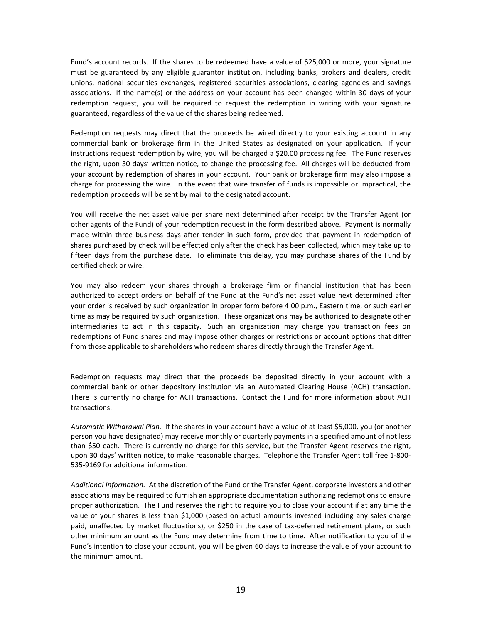Fund's account records. If the shares to be redeemed have a value of \$25,000 or more, your signature must be guaranteed by any eligible guarantor institution, including banks, brokers and dealers, credit unions, national securities exchanges, registered securities associations, clearing agencies and savings associations. If the name(s) or the address on your account has been changed within 30 days of your redemption request, you will be required to request the redemption in writing with your signature guaranteed, regardless of the value of the shares being redeemed.

Redemption requests may direct that the proceeds be wired directly to your existing account in any commercial bank or brokerage firm in the United States as designated on your application. If your instructions request redemption by wire, you will be charged a \$20.00 processing fee. The Fund reserves the right, upon 30 days' written notice, to change the processing fee. All charges will be deducted from your account by redemption of shares in your account. Your bank or brokerage firm may also impose a charge for processing the wire. In the event that wire transfer of funds is impossible or impractical, the redemption proceeds will be sent by mail to the designated account.

You will receive the net asset value per share next determined after receipt by the Transfer Agent (or other agents of the Fund) of your redemption request in the form described above. Payment is normally made within three business days after tender in such form, provided that payment in redemption of shares purchased by check will be effected only after the check has been collected, which may take up to fifteen days from the purchase date. To eliminate this delay, you may purchase shares of the Fund by certified check or wire.

You may also redeem your shares through a brokerage firm or financial institution that has been authorized to accept orders on behalf of the Fund at the Fund's net asset value next determined after your order is received by such organization in proper form before 4:00 p.m., Eastern time, or such earlier time as may be required by such organization. These organizations may be authorized to designate other intermediaries to act in this capacity. Such an organization may charge you transaction fees on redemptions of Fund shares and may impose other charges or restrictions or account options that differ from those applicable to shareholders who redeem shares directly through the Transfer Agent.

Redemption requests may direct that the proceeds be deposited directly in your account with a commercial bank or other depository institution via an Automated Clearing House (ACH) transaction. There is currently no charge for ACH transactions. Contact the Fund for more information about ACH transactions.

*Automatic Withdrawal Plan.* If the shares in your account have a value of at least \$5,000, you (or another person you have designated) may receive monthly or quarterly payments in a specified amount of not less than \$50 each. There is currently no charge for this service, but the Transfer Agent reserves the right, upon 30 days' written notice, to make reasonable charges. Telephone the Transfer Agent toll free 1-800- 535-9169 for additional information.

*Additional Information.* At the discretion of the Fund or the Transfer Agent, corporate investors and other associations may be required to furnish an appropriate documentation authorizing redemptions to ensure proper authorization. The Fund reserves the right to require you to close your account if at any time the value of your shares is less than \$1,000 (based on actual amounts invested including any sales charge paid, unaffected by market fluctuations), or \$250 in the case of tax-deferred retirement plans, or such other minimum amount as the Fund may determine from time to time. After notification to you of the Fund's intention to close your account, you will be given 60 days to increase the value of your account to the minimum amount.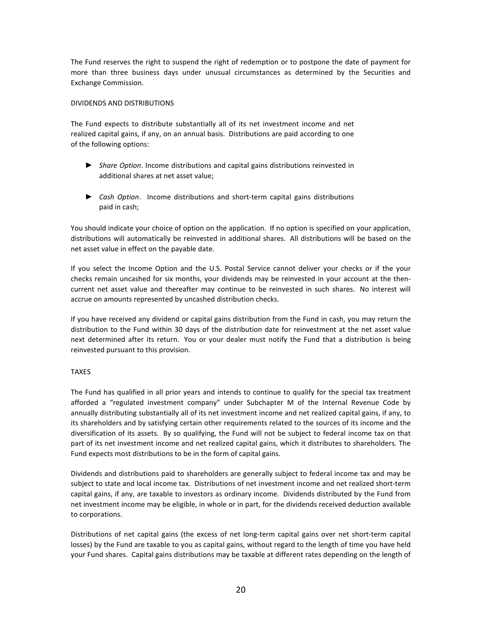The Fund reserves the right to suspend the right of redemption or to postpone the date of payment for more than three business days under unusual circumstances as determined by the Securities and Exchange Commission.

### DIVIDENDS AND DISTRIBUTIONS

The Fund expects to distribute substantially all of its net investment income and net realized capital gains, if any, on an annual basis. Distributions are paid according to one of the following options:

- *► Share Option*. Income distributions and capital gains distributions reinvested in additional shares at net asset value;
- *► Cash Option*. Income distributions and short-term capital gains distributions paid in cash;

You should indicate your choice of option on the application. If no option is specified on your application, distributions will automatically be reinvested in additional shares. All distributions will be based on the net asset value in effect on the payable date.

If you select the Income Option and the U.S. Postal Service cannot deliver your checks or if the your checks remain uncashed for six months, your dividends may be reinvested in your account at the thencurrent net asset value and thereafter may continue to be reinvested in such shares. No interest will accrue on amounts represented by uncashed distribution checks.

If you have received any dividend or capital gains distribution from the Fund in cash, you may return the distribution to the Fund within 30 days of the distribution date for reinvestment at the net asset value next determined after its return. You or your dealer must notify the Fund that a distribution is being reinvested pursuant to this provision.

# TAXES

The Fund has qualified in all prior years and intends to continue to qualify for the special tax treatment afforded a "regulated investment company" under Subchapter M of the Internal Revenue Code by annually distributing substantially all of its net investment income and net realized capital gains, if any, to its shareholders and by satisfying certain other requirements related to the sources of its income and the diversification of its assets. By so qualifying, the Fund will not be subject to federal income tax on that part of its net investment income and net realized capital gains, which it distributes to shareholders. The Fund expects most distributions to be in the form of capital gains.

Dividends and distributions paid to shareholders are generally subject to federal income tax and may be subject to state and local income tax. Distributions of net investment income and net realized short-term capital gains, if any, are taxable to investors as ordinary income. Dividends distributed by the Fund from net investment income may be eligible, in whole or in part, for the dividends received deduction available to corporations.

Distributions of net capital gains (the excess of net long-term capital gains over net short-term capital losses) by the Fund are taxable to you as capital gains, without regard to the length of time you have held your Fund shares. Capital gains distributions may be taxable at different rates depending on the length of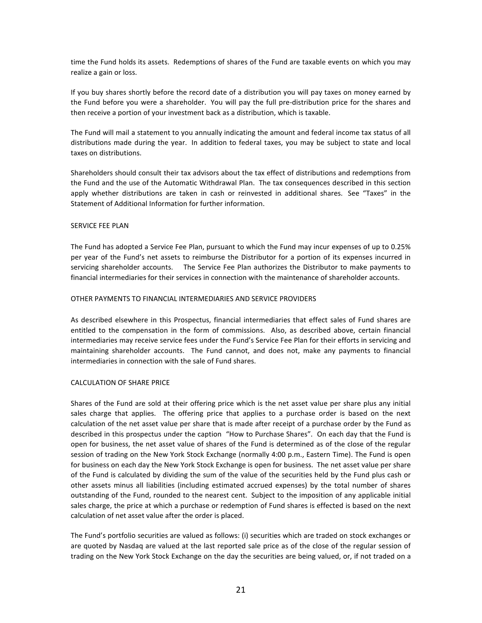time the Fund holds its assets. Redemptions of shares of the Fund are taxable events on which you may realize a gain or loss.

If you buy shares shortly before the record date of a distribution you will pay taxes on money earned by the Fund before you were a shareholder. You will pay the full pre-distribution price for the shares and then receive a portion of your investment back as a distribution, which is taxable.

The Fund will mail a statement to you annually indicating the amount and federal income tax status of all distributions made during the year. In addition to federal taxes, you may be subject to state and local taxes on distributions.

Shareholders should consult their tax advisors about the tax effect of distributions and redemptions from the Fund and the use of the Automatic Withdrawal Plan. The tax consequences described in this section apply whether distributions are taken in cash or reinvested in additional shares. See "Taxes" in the Statement of Additional Information for further information.

#### SERVICE FEE PLAN

The Fund has adopted a Service Fee Plan, pursuant to which the Fund may incur expenses of up to 0.25% per year of the Fund's net assets to reimburse the Distributor for a portion of its expenses incurred in servicing shareholder accounts. The Service Fee Plan authorizes the Distributor to make payments to financial intermediaries for their services in connection with the maintenance of shareholder accounts.

#### OTHER PAYMENTS TO FINANCIAL INTERMEDIARIES AND SERVICE PROVIDERS

As described elsewhere in this Prospectus, financial intermediaries that effect sales of Fund shares are entitled to the compensation in the form of commissions. Also, as described above, certain financial intermediaries may receive service fees under the Fund's Service Fee Plan for their efforts in servicing and maintaining shareholder accounts. The Fund cannot, and does not, make any payments to financial intermediaries in connection with the sale of Fund shares.

#### CALCULATION OF SHARE PRICE

Shares of the Fund are sold at their offering price which is the net asset value per share plus any initial sales charge that applies. The offering price that applies to a purchase order is based on the next calculation of the net asset value per share that is made after receipt of a purchase order by the Fund as described in this prospectus under the caption "How to Purchase Shares". On each day that the Fund is open for business, the net asset value of shares of the Fund is determined as of the close of the regular session of trading on the New York Stock Exchange (normally 4:00 p.m., Eastern Time). The Fund is open for business on each day the New York Stock Exchange is open for business. The net asset value per share of the Fund is calculated by dividing the sum of the value of the securities held by the Fund plus cash or other assets minus all liabilities (including estimated accrued expenses) by the total number of shares outstanding of the Fund, rounded to the nearest cent. Subject to the imposition of any applicable initial sales charge, the price at which a purchase or redemption of Fund shares is effected is based on the next calculation of net asset value after the order is placed.

The Fund's portfolio securities are valued as follows: (i) securities which are traded on stock exchanges or are quoted by Nasdaq are valued at the last reported sale price as of the close of the regular session of trading on the New York Stock Exchange on the day the securities are being valued, or, if not traded on a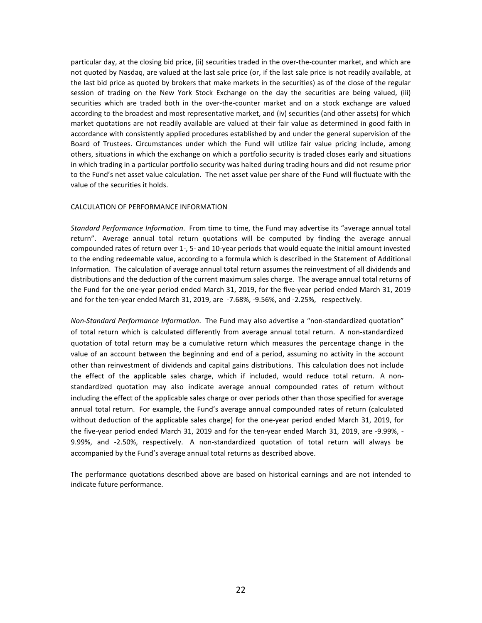particular day, at the closing bid price, (ii) securities traded in the over-the-counter market, and which are not quoted by Nasdaq, are valued at the last sale price (or, if the last sale price is not readily available, at the last bid price as quoted by brokers that make markets in the securities) as of the close of the regular session of trading on the New York Stock Exchange on the day the securities are being valued, (iii) securities which are traded both in the over-the-counter market and on a stock exchange are valued according to the broadest and most representative market, and (iv) securities (and other assets) for which market quotations are not readily available are valued at their fair value as determined in good faith in accordance with consistently applied procedures established by and under the general supervision of the Board of Trustees. Circumstances under which the Fund will utilize fair value pricing include, among others, situations in which the exchange on which a portfolio security is traded closes early and situations in which trading in a particular portfolio security was halted during trading hours and did not resume prior to the Fund's net asset value calculation. The net asset value per share of the Fund will fluctuate with the value of the securities it holds.

#### CALCULATION OF PERFORMANCE INFORMATION

*Standard Performance Information*. From time to time, the Fund may advertise its "average annual total return". Average annual total return quotations will be computed by finding the average annual compounded rates of return over 1-, 5- and 10-year periods that would equate the initial amount invested to the ending redeemable value, according to a formula which is described in the Statement of Additional Information. The calculation of average annual total return assumes the reinvestment of all dividends and distributions and the deduction of the current maximum sales charge. The average annual total returns of the Fund for the one-year period ended March 31, 2019, for the five-year period ended March 31, 2019 and for the ten-year ended March 31, 2019, are -7.68%, -9.56%, and -2.25%, respectively.

*Non-Standard Performance Information*. The Fund may also advertise a "non-standardized quotation" of total return which is calculated differently from average annual total return. A non-standardized quotation of total return may be a cumulative return which measures the percentage change in the value of an account between the beginning and end of a period, assuming no activity in the account other than reinvestment of dividends and capital gains distributions. This calculation does not include the effect of the applicable sales charge, which if included, would reduce total return. A nonstandardized quotation may also indicate average annual compounded rates of return without including the effect of the applicable sales charge or over periods other than those specified for average annual total return. For example, the Fund's average annual compounded rates of return (calculated without deduction of the applicable sales charge) for the one-year period ended March 31, 2019, for the five-year period ended March 31, 2019 and for the ten-year ended March 31, 2019, are -9.99%, - 9.99%, and -2.50%, respectively. A non-standardized quotation of total return will always be accompanied by the Fund's average annual total returns as described above.

The performance quotations described above are based on historical earnings and are not intended to indicate future performance.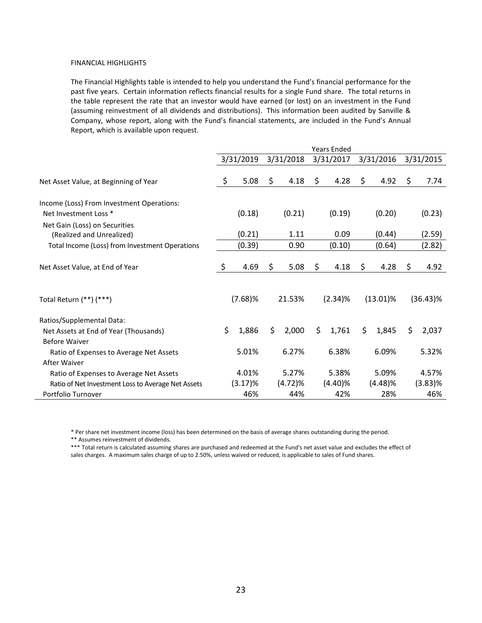#### FINANCIAL HIGHLIGHTS

The Financial Highlights table is intended to help you understand the Fund's financial performance for the past five years. Certain information reflects financial results for a single Fund share. The total returns in the table represent the rate that an investor would have earned (or lost) on an investment in the Fund (assuming reinvestment of all dividends and distributions). This information been audited by Sanville & Company, whose report, along with the Fund's financial statements, are included in the Fund's Annual Report, which is available upon request.

|                                                    | <b>Years Ended</b> |            |     |           |    |            |    |             |             |
|----------------------------------------------------|--------------------|------------|-----|-----------|----|------------|----|-------------|-------------|
|                                                    |                    | 3/31/2019  |     | 3/31/2018 |    | 3/31/2017  |    | 3/31/2016   | 3/31/2015   |
| Net Asset Value, at Beginning of Year              | \$                 | 5.08       | \$. | 4.18      | \$ | 4.28       | \$ | 4.92        | \$<br>7.74  |
| Income (Loss) From Investment Operations:          |                    |            |     |           |    |            |    |             |             |
| Net Investment Loss *                              |                    | (0.18)     |     | (0.21)    |    | (0.19)     |    | (0.20)      | (0.23)      |
| Net Gain (Loss) on Securities                      |                    |            |     |           |    |            |    |             |             |
| (Realized and Unrealized)                          |                    | (0.21)     |     | 1.11      |    | 0.09       |    | (0.44)      | (2.59)      |
| Total Income (Loss) from Investment Operations     |                    | (0.39)     |     | 0.90      |    | (0.10)     |    | (0.64)      | (2.82)      |
| Net Asset Value, at End of Year                    | \$                 | 4.69       | \$  | 5.08      | S. | 4.18       | \$ | 4.28        | \$<br>4.92  |
| Total Return (**) (***)                            |                    | $(7.68)$ % |     | 21.53%    |    | $(2.34)\%$ |    | $(13.01)\%$ | $(36.43)\%$ |
| Ratios/Supplemental Data:                          |                    |            |     |           |    |            |    |             |             |
| Net Assets at End of Year (Thousands)              | \$                 | 1,886      | \$  | 2,000     | \$ | 1,761      | \$ | 1,845       | \$<br>2,037 |
| Before Waiver                                      |                    |            |     |           |    |            |    |             |             |
| Ratio of Expenses to Average Net Assets            |                    | 5.01%      |     | 6.27%     |    | 6.38%      |    | 6.09%       | 5.32%       |
| After Waiver                                       |                    |            |     |           |    |            |    |             |             |
| Ratio of Expenses to Average Net Assets            |                    | 4.01%      |     | 5.27%     |    | 5.38%      |    | 5.09%       | 4.57%       |
| Ratio of Net Investment Loss to Average Net Assets |                    | (3.17)%    |     | (4.72)%   |    | $(4.40)\%$ |    | (4.48)%     | $(3.83)\%$  |
| Portfolio Turnover                                 |                    | 46%        |     | 44%       |    | 42%        |    | 28%         | 46%         |

\* Per share net investment income (loss) has been determined on the basis of average shares outstanding during the period.

\*\* Assumes reinvestment of dividends.

\*\*\* Total return is calculated assuming shares are purchased and redeemed at the Fund's net asset value and excludes the effect of sales charges. A maximum sales charge of up to 2.50%, unless waived or reduced, is applicable to sales of Fund shares.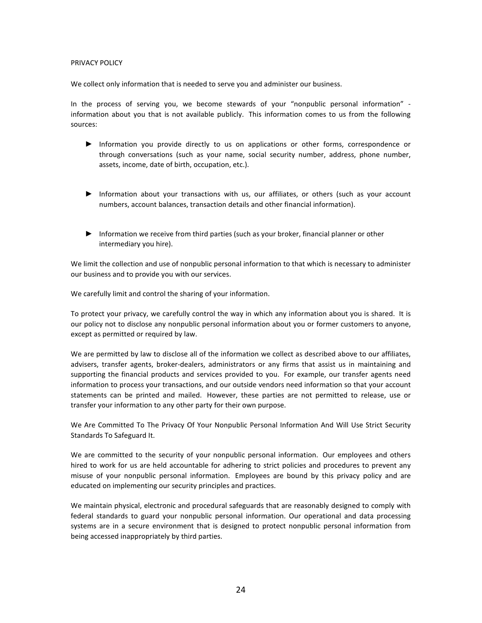## PRIVACY POLICY

We collect only information that is needed to serve you and administer our business.

In the process of serving you, we become stewards of your "nonpublic personal information" information about you that is not available publicly. This information comes to us from the following sources:

- ► Information you provide directly to us on applications or other forms, correspondence or through conversations (such as your name, social security number, address, phone number, assets, income, date of birth, occupation, etc.).
- ► Information about your transactions with us, our affiliates, or others (such as your account numbers, account balances, transaction details and other financial information).
- ► Information we receive from third parties (such as your broker, financial planner or other intermediary you hire).

We limit the collection and use of nonpublic personal information to that which is necessary to administer our business and to provide you with our services.

We carefully limit and control the sharing of your information.

To protect your privacy, we carefully control the way in which any information about you is shared. It is our policy not to disclose any nonpublic personal information about you or former customers to anyone, except as permitted or required by law.

We are permitted by law to disclose all of the information we collect as described above to our affiliates, advisers, transfer agents, broker-dealers, administrators or any firms that assist us in maintaining and supporting the financial products and services provided to you. For example, our transfer agents need information to process your transactions, and our outside vendors need information so that your account statements can be printed and mailed. However, these parties are not permitted to release, use or transfer your information to any other party for their own purpose.

We Are Committed To The Privacy Of Your Nonpublic Personal Information And Will Use Strict Security Standards To Safeguard It.

We are committed to the security of your nonpublic personal information. Our employees and others hired to work for us are held accountable for adhering to strict policies and procedures to prevent any misuse of your nonpublic personal information. Employees are bound by this privacy policy and are educated on implementing our security principles and practices.

We maintain physical, electronic and procedural safeguards that are reasonably designed to comply with federal standards to guard your nonpublic personal information. Our operational and data processing systems are in a secure environment that is designed to protect nonpublic personal information from being accessed inappropriately by third parties.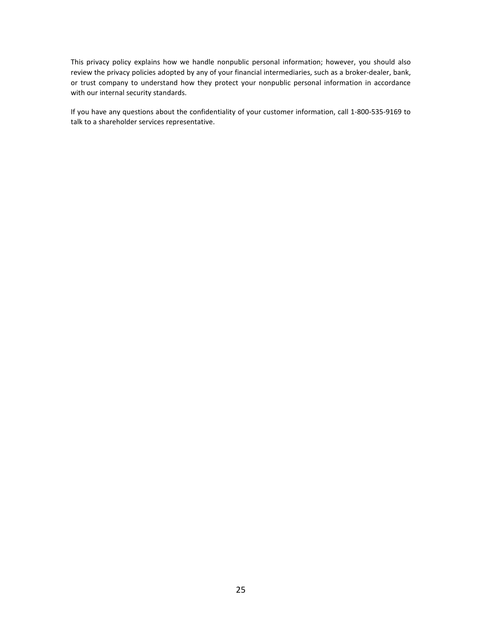This privacy policy explains how we handle nonpublic personal information; however, you should also review the privacy policies adopted by any of your financial intermediaries, such as a broker-dealer, bank, or trust company to understand how they protect your nonpublic personal information in accordance with our internal security standards.

If you have any questions about the confidentiality of your customer information, call 1-800-535-9169 to talk to a shareholder services representative.